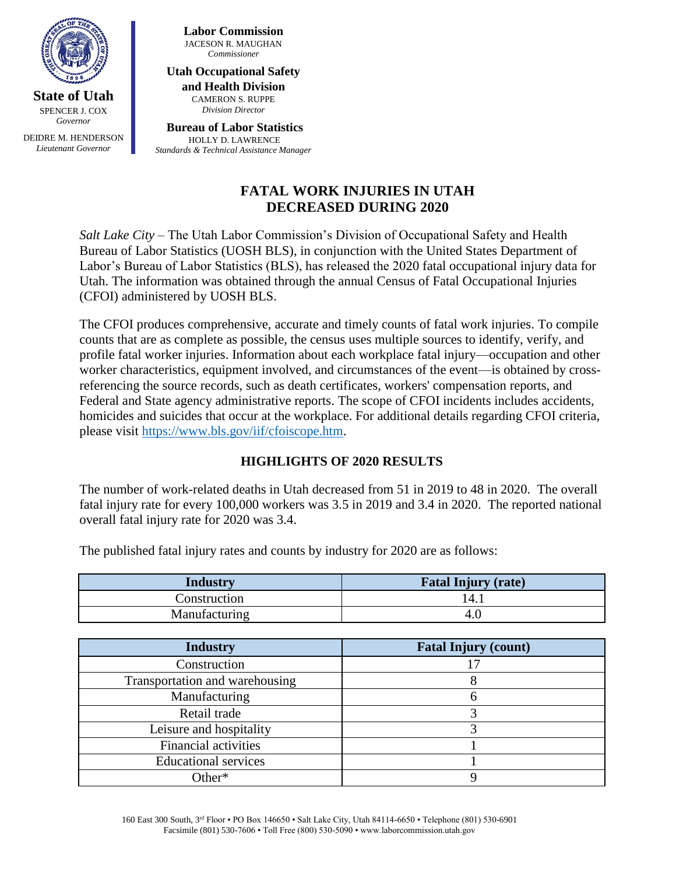

**State of Utah** SPENCER J. COX *Governor*

DEIDRE M. HENDERSON *Lieutenant Governor*

**Labor Commission** JACESON R. MAUGHAN *Commissioner*

**Utah Occupational Safety and Health Division** CAMERON S. RUPPE *Division Director*

**Bureau of Labor Statistics** HOLLY D. LAWRENCE *Standards & Technical Assistance Manager*

# **FATAL WORK INJURIES IN UTAH DECREASED DURING 2020**

*Salt Lake City* – The Utah Labor Commission's Division of Occupational Safety and Health Bureau of Labor Statistics (UOSH BLS), in conjunction with the United States Department of Labor's Bureau of Labor Statistics (BLS), has released the 2020 fatal occupational injury data for Utah. The information was obtained through the annual Census of Fatal Occupational Injuries (CFOI) administered by UOSH BLS.

The CFOI produces comprehensive, accurate and timely counts of fatal work injuries. To compile counts that are as complete as possible, the census uses multiple sources to identify, verify, and profile fatal worker injuries. Information about each workplace fatal injury—occupation and other worker characteristics, equipment involved, and circumstances of the event—is obtained by crossreferencing the source records, such as death certificates, workers' compensation reports, and Federal and State agency administrative reports. The scope of CFOI incidents includes accidents, homicides and suicides that occur at the workplace. For additional details regarding CFOI criteria, please visit [https://www.bls.gov/iif/cfoiscope.htm.](https://www.bls.gov/iif/cfoiscope.htm)

# **HIGHLIGHTS OF 2020 RESULTS**

The number of work-related deaths in Utah decreased from 51 in 2019 to 48 in 2020. The overall fatal injury rate for every 100,000 workers was 3.5 in 2019 and 3.4 in 2020. The reported national overall fatal injury rate for 2020 was 3.4.

**Industry Fatal Injury (rate)** Construction 14.1 Manufacturing 4.0

The published fatal injury rates and counts by industry for 2020 are as follows:

| <b>Industry</b>                | <b>Fatal Injury (count)</b> |
|--------------------------------|-----------------------------|
| Construction                   |                             |
| Transportation and warehousing |                             |
| Manufacturing                  |                             |
| Retail trade                   |                             |
| Leisure and hospitality        |                             |
| <b>Financial activities</b>    |                             |
| <b>Educational services</b>    |                             |
| )ther*                         |                             |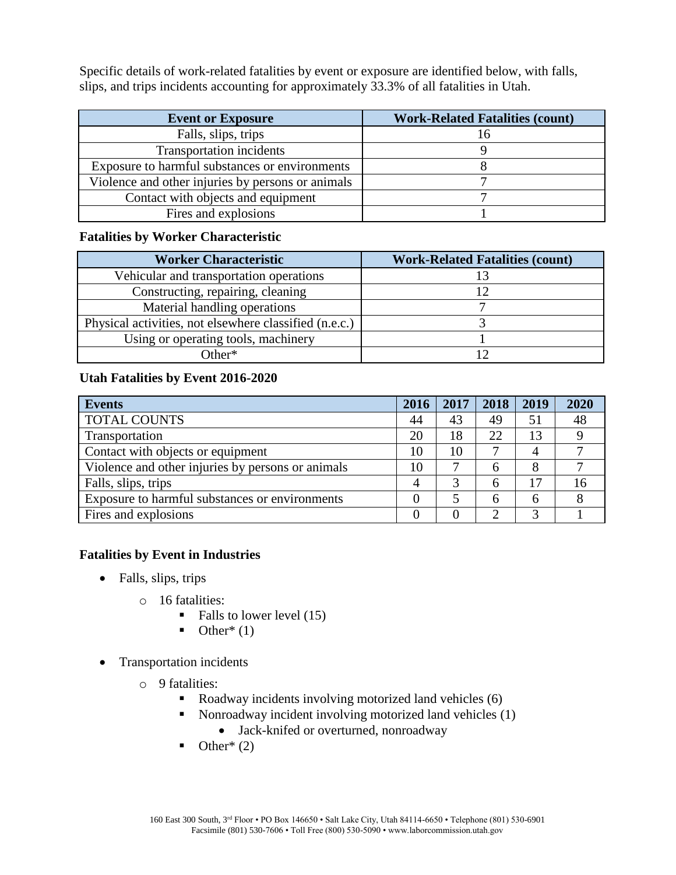Specific details of work-related fatalities by event or exposure are identified below, with falls, slips, and trips incidents accounting for approximately 33.3% of all fatalities in Utah.

| <b>Event or Exposure</b>                          | <b>Work-Related Fatalities (count)</b> |  |  |  |  |
|---------------------------------------------------|----------------------------------------|--|--|--|--|
| Falls, slips, trips                               |                                        |  |  |  |  |
| <b>Transportation incidents</b>                   |                                        |  |  |  |  |
| Exposure to harmful substances or environments    |                                        |  |  |  |  |
| Violence and other injuries by persons or animals |                                        |  |  |  |  |
| Contact with objects and equipment                |                                        |  |  |  |  |
| Fires and explosions                              |                                        |  |  |  |  |

## **Fatalities by Worker Characteristic**

| <b>Worker Characteristic</b>                           | <b>Work-Related Fatalities (count)</b> |  |  |  |
|--------------------------------------------------------|----------------------------------------|--|--|--|
| Vehicular and transportation operations                |                                        |  |  |  |
| Constructing, repairing, cleaning                      |                                        |  |  |  |
| Material handling operations                           |                                        |  |  |  |
| Physical activities, not elsewhere classified (n.e.c.) |                                        |  |  |  |
| Using or operating tools, machinery                    |                                        |  |  |  |
| Other*                                                 |                                        |  |  |  |

#### **Utah Fatalities by Event 2016-2020**

| <b>Events</b>                                     | 2016 | 2017 | 2018 | 2019 | 2020 |
|---------------------------------------------------|------|------|------|------|------|
| <b>TOTAL COUNTS</b>                               | 44   | 43   | 49   | 51   | 48   |
| Transportation                                    | 20   | 18   | 22   | 13   |      |
| Contact with objects or equipment                 | 10   | 10   |      |      |      |
| Violence and other injuries by persons or animals | 10   |      |      |      |      |
| Falls, slips, trips                               | 4    | 3    | h    |      | 16   |
| Exposure to harmful substances or environments    |      |      |      | h    |      |
| Fires and explosions                              |      |      |      |      |      |

#### **Fatalities by Event in Industries**

- Falls, slips, trips
	- o 16 fatalities:
		- $\blacksquare$  Falls to lower level (15)
		- $\bullet$  Other<sup>\*</sup> (1)
- Transportation incidents
	- o 9 fatalities:
		- Roadway incidents involving motorized land vehicles  $(6)$
		- Nonroadway incident involving motorized land vehicles (1)
			- Jack-knifed or overturned, nonroadway
		- $\blacksquare$  Other\* (2)